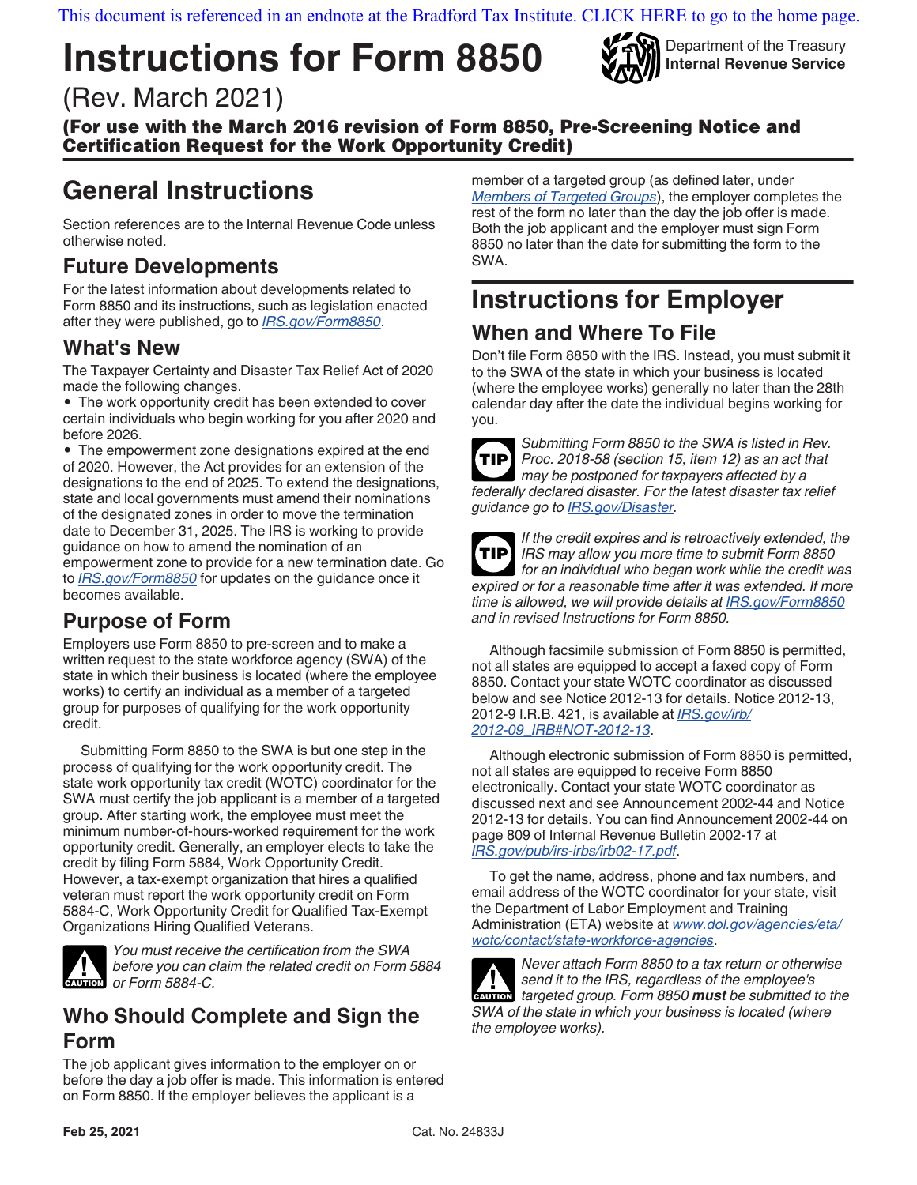# **Instructions for Form 8850**

## (Rev. March 2021)



Department of the Treasury **Internal Revenue Service**

(For use with the March 2016 revision of Form 8850, Pre-Screening Notice and Certification Request for the Work Opportunity Credit)

## **General Instructions**

Section references are to the Internal Revenue Code unless otherwise noted.

### **Future Developments**

For the latest information about developments related to Form 8850 and its instructions, such as legislation enacted after they were published, go to *[IRS.gov/Form8850](https://www.irs.gov/form8850)*.

#### **What's New**

The Taxpayer Certainty and Disaster Tax Relief Act of 2020 made the following changes.

• The work opportunity credit has been extended to cover certain individuals who begin working for you after 2020 and before 2026.

• The empowerment zone designations expired at the end of 2020. However, the Act provides for an extension of the designations to the end of 2025. To extend the designations, state and local governments must amend their nominations of the designated zones in order to move the termination date to December 31, 2025. The IRS is working to provide guidance on how to amend the nomination of an empowerment zone to provide for a new termination date. Go to *[IRS.gov/Form8850](https://www.irs.gov/form8850)* for updates on the guidance once it becomes available.

#### **Purpose of Form**

Employers use Form 8850 to pre-screen and to make a written request to the state workforce agency (SWA) of the state in which their business is located (where the employee works) to certify an individual as a member of a targeted group for purposes of qualifying for the work opportunity credit.

Submitting Form 8850 to the SWA is but one step in the process of qualifying for the work opportunity credit. The state work opportunity tax credit (WOTC) coordinator for the SWA must certify the job applicant is a member of a targeted group. After starting work, the employee must meet the minimum number-of-hours-worked requirement for the work opportunity credit. Generally, an employer elects to take the credit by filing Form 5884, Work Opportunity Credit. However, a tax-exempt organization that hires a qualified veteran must report the work opportunity credit on Form 5884-C, Work Opportunity Credit for Qualified Tax-Exempt Organizations Hiring Qualified Veterans.



*You must receive the certification from the SWA before you can claim the related credit on Form 5884 or Form 5884-C.* **CAUTION**

#### **Who Should Complete and Sign the Form**

The job applicant gives information to the employer on or before the day a job offer is made. This information is entered on Form 8850. If the employer believes the applicant is a

member of a targeted group (as defined later, under *[Members of Targeted Groups](#page-1-0)*), the employer completes the rest of the form no later than the day the job offer is made. Both the job applicant and the employer must sign Form 8850 no later than the date for submitting the form to the SWA.

# **Instructions for Employer**

## **When and Where To File** Don't file Form 8850 with the IRS. Instead, you must submit it

to the SWA of the state in which your business is located (where the employee works) generally no later than the 28th calendar day after the date the individual begins working for you.



*Submitting Form 8850 to the SWA is listed in Rev. Proc. 2018-58 (section 15, item 12) as an act that may be postponed for taxpayers affected by a federally declared disaster. For the latest disaster tax relief guidance go to [IRS.gov/Disaster.](https://www.irs.gov/Disaster)*

*If the credit expires and is retroactively extended, the IRS may allow you more time to submit Form 8850 for an individual who began work while the credit was expired or for a reasonable time after it was extended. If more time is allowed, we will provide details at [IRS.gov/Form8850](https://www.irs.gov/form8850) and in revised Instructions for Form 8850.* **TIP**

Although facsimile submission of Form 8850 is permitted, not all states are equipped to accept a faxed copy of Form 8850. Contact your state WOTC coordinator as discussed below and see Notice 2012-13 for details. Notice 2012-13, 2012-9 I.R.B. 421, is available at *[IRS.gov/irb/](https://www.irs.gov/irb/2012-09_IRB#NOT-2012-13) [2012-09\\_IRB#NOT-2012-13](https://www.irs.gov/irb/2012-09_IRB#NOT-2012-13)*.

Although electronic submission of Form 8850 is permitted, not all states are equipped to receive Form 8850 electronically. Contact your state WOTC coordinator as discussed next and see Announcement 2002-44 and Notice 2012-13 for details. You can find Announcement 2002-44 on page 809 of Internal Revenue Bulletin 2002-17 at *[IRS.gov/pub/irs-irbs/irb02-17.pdf](https://www.irs.gov/pub/irs-irbs/irb02-17.pdf)*.

To get the name, address, phone and fax numbers, and email address of the WOTC coordinator for your state, visit the Department of Labor Employment and Training Administration (ETA) website at *[www.dol.gov/agencies/eta/](https://www.dol.gov/agencies/eta/wotc/contact/state-workforce-agencies) [wotc/contact/state-workforce-agencies](https://www.dol.gov/agencies/eta/wotc/contact/state-workforce-agencies)*.

*Never attach Form 8850 to a tax return or otherwise send it to the IRS, regardless of the employee's* **z** send it to the IRS, regardless of the employee's targeted group. Form 8850 **must** be submitted to the *SWA of the state in which your business is located (where the employee works).*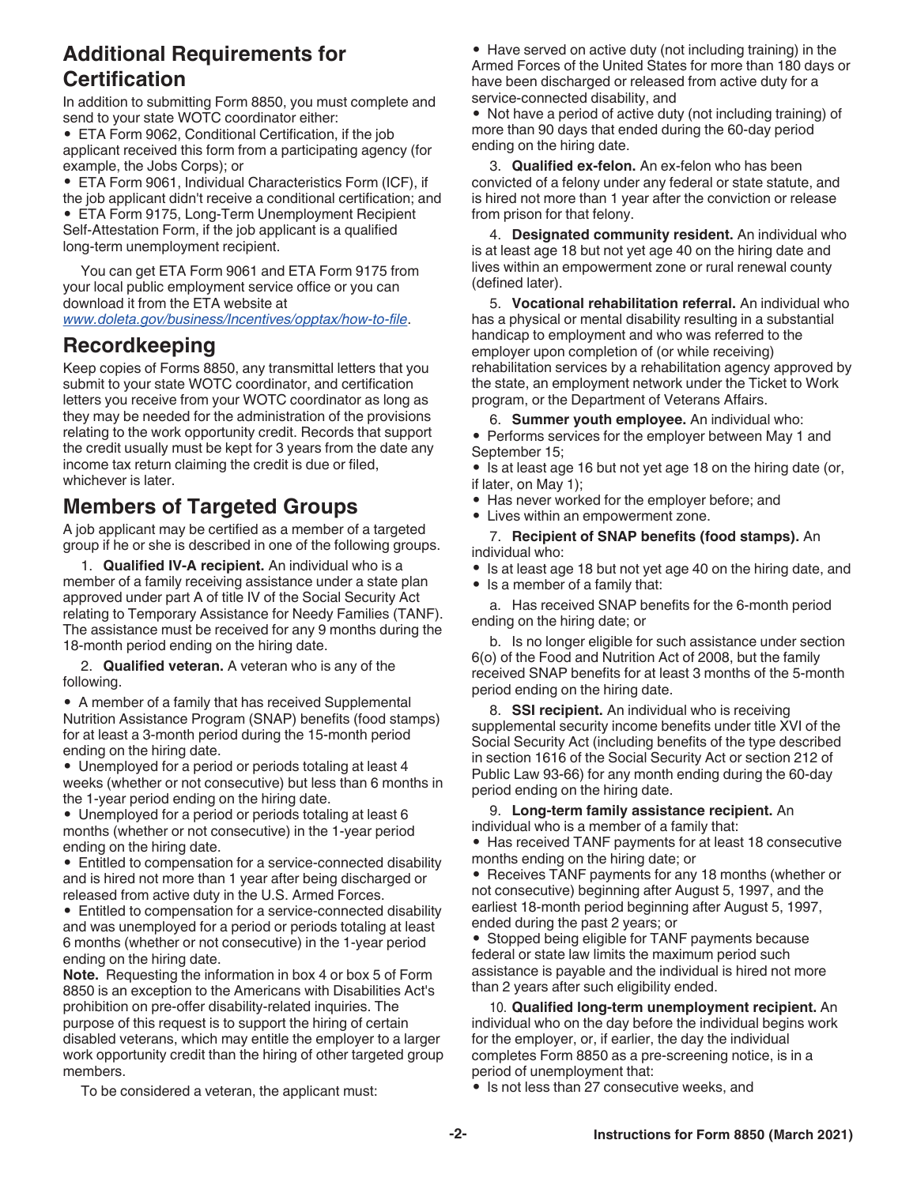#### <span id="page-1-0"></span>**Additional Requirements for Certification**

In addition to submitting Form 8850, you must complete and send to your state WOTC coordinator either:

• ETA Form 9062, Conditional Certification, if the job applicant received this form from a participating agency (for example, the Jobs Corps); or

• ETA Form 9061, Individual Characteristics Form (ICF), if the job applicant didn't receive a conditional certification; and • ETA Form 9175, Long-Term Unemployment Recipient Self-Attestation Form, if the job applicant is a qualified long-term unemployment recipient.

You can get ETA Form 9061 and ETA Form 9175 from your local public employment service office or you can download it from the ETA website at

*[www.doleta.gov/business/Incentives/opptax/how-to-file](https://www.dol.gov/agencies/eta/wotc/how-to-file)*.

#### **Recordkeeping**

Keep copies of Forms 8850, any transmittal letters that you submit to your state WOTC coordinator, and certification letters you receive from your WOTC coordinator as long as they may be needed for the administration of the provisions relating to the work opportunity credit. Records that support the credit usually must be kept for 3 years from the date any income tax return claiming the credit is due or filed, whichever is later.

#### **Members of Targeted Groups**

A job applicant may be certified as a member of a targeted group if he or she is described in one of the following groups.

1. **Qualified IV-A recipient.** An individual who is a member of a family receiving assistance under a state plan approved under part A of title IV of the Social Security Act relating to Temporary Assistance for Needy Families (TANF). The assistance must be received for any 9 months during the 18-month period ending on the hiring date.

2. **Qualified veteran.** A veteran who is any of the following.

• A member of a family that has received Supplemental Nutrition Assistance Program (SNAP) benefits (food stamps) for at least a 3-month period during the 15-month period ending on the hiring date.

• Unemployed for a period or periods totaling at least 4 weeks (whether or not consecutive) but less than 6 months in the 1-year period ending on the hiring date.

• Unemployed for a period or periods totaling at least 6 months (whether or not consecutive) in the 1-year period ending on the hiring date.

• Entitled to compensation for a service-connected disability and is hired not more than 1 year after being discharged or released from active duty in the U.S. Armed Forces.

• Entitled to compensation for a service-connected disability and was unemployed for a period or periods totaling at least 6 months (whether or not consecutive) in the 1-year period ending on the hiring date.

**Note.** Requesting the information in box 4 or box 5 of Form 8850 is an exception to the Americans with Disabilities Act's prohibition on pre-offer disability-related inquiries. The purpose of this request is to support the hiring of certain disabled veterans, which may entitle the employer to a larger work opportunity credit than the hiring of other targeted group members.

• Have served on active duty (not including training) in the Armed Forces of the United States for more than 180 days or have been discharged or released from active duty for a service-connected disability, and

• Not have a period of active duty (not including training) of more than 90 days that ended during the 60-day period ending on the hiring date.

3. **Qualified ex-felon.** An ex-felon who has been convicted of a felony under any federal or state statute, and is hired not more than 1 year after the conviction or release from prison for that felony.

4. **Designated community resident.** An individual who is at least age 18 but not yet age 40 on the hiring date and lives within an empowerment zone or rural renewal county (defined later).

5. **Vocational rehabilitation referral.** An individual who has a physical or mental disability resulting in a substantial handicap to employment and who was referred to the employer upon completion of (or while receiving) rehabilitation services by a rehabilitation agency approved by the state, an employment network under the Ticket to Work program, or the Department of Veterans Affairs.

6. **Summer youth employee.** An individual who: • Performs services for the employer between May 1 and September 15;

• Is at least age 16 but not yet age 18 on the hiring date (or, if later, on May 1);

• Has never worked for the employer before; and

• Lives within an empowerment zone.

7. **Recipient of SNAP benefits (food stamps).** An individual who:

• Is at least age 18 but not yet age 40 on the hiring date, and • Is a member of a family that:

a. Has received SNAP benefits for the 6-month period ending on the hiring date; or

b. Is no longer eligible for such assistance under section 6(o) of the Food and Nutrition Act of 2008, but the family received SNAP benefits for at least 3 months of the 5-month period ending on the hiring date.

8. **SSI recipient.** An individual who is receiving supplemental security income benefits under title XVI of the Social Security Act (including benefits of the type described in section 1616 of the Social Security Act or section 212 of Public Law 93-66) for any month ending during the 60-day period ending on the hiring date.

9. **Long-term family assistance recipient.** An individual who is a member of a family that:

• Has received TANF payments for at least 18 consecutive months ending on the hiring date; or

• Receives TANF payments for any 18 months (whether or not consecutive) beginning after August 5, 1997, and the earliest 18-month period beginning after August 5, 1997, ended during the past 2 years; or

• Stopped being eligible for TANF payments because federal or state law limits the maximum period such assistance is payable and the individual is hired not more than 2 years after such eligibility ended.

10. **Qualified long-term unemployment recipient.** An individual who on the day before the individual begins work for the employer, or, if earlier, the day the individual completes Form 8850 as a pre-screening notice, is in a period of unemployment that:

To be considered a veteran, the applicant must:

• Is not less than 27 consecutive weeks, and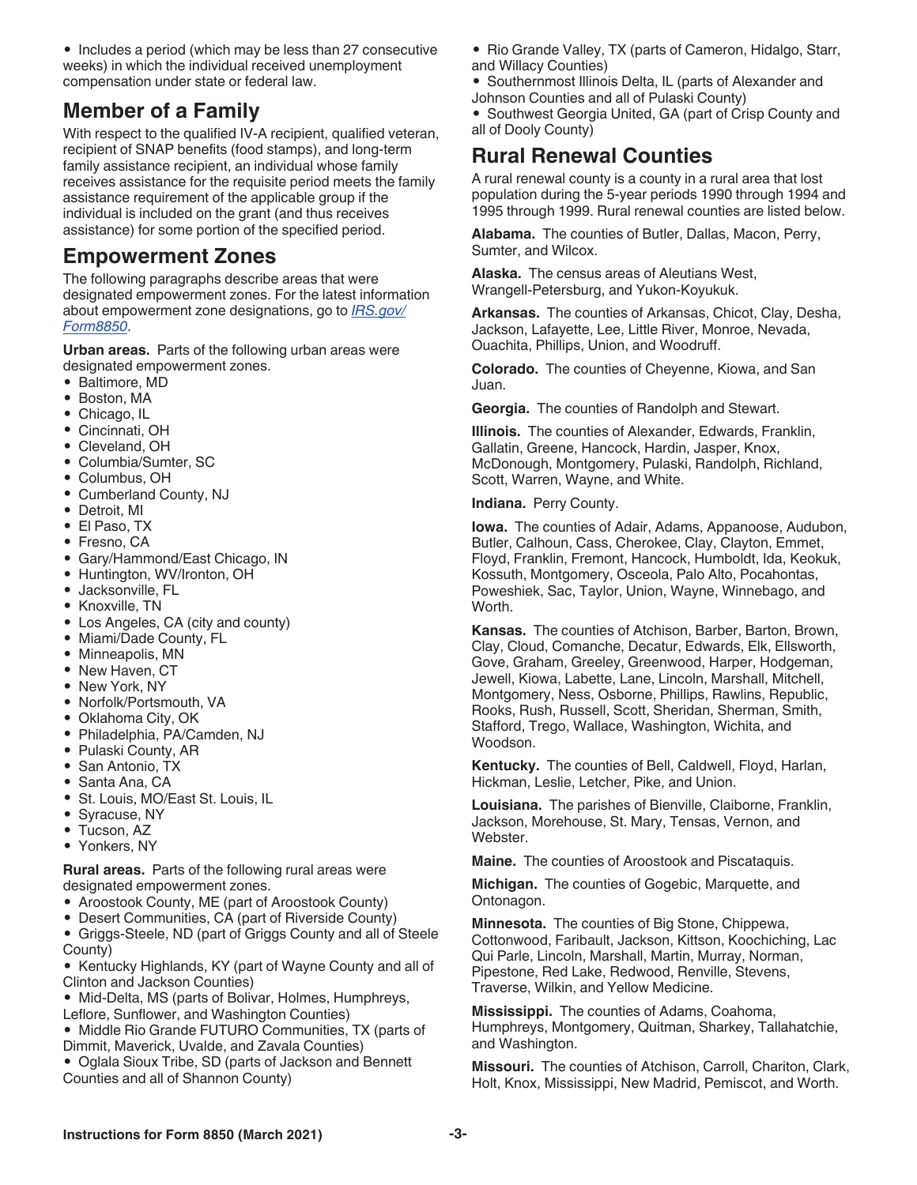• Includes a period (which may be less than 27 consecutive weeks) in which the individual received unemployment compensation under state or federal law.

### **Member of a Family**

With respect to the qualified IV-A recipient, qualified veteran, recipient of SNAP benefits (food stamps), and long-term family assistance recipient, an individual whose family receives assistance for the requisite period meets the family assistance requirement of the applicable group if the individual is included on the grant (and thus receives assistance) for some portion of the specified period.

#### **Empowerment Zones**

The following paragraphs describe areas that were designated empowerment zones. For the latest information about empowerment zone designations, go to *[IRS.gov/](https://www.irs.gov/form8850) [Form8850](https://www.irs.gov/form8850)*.

**Urban areas.** Parts of the following urban areas were designated empowerment zones.

- Baltimore, MD
- Boston, MA
- Chicago, IL
- Cincinnati, OH
- Cleveland, OH
- Columbia/Sumter, SC
- Columbus, OH
- Cumberland County, NJ
- Detroit, MI
- El Paso, TX
- Fresno, CA
- Gary/Hammond/East Chicago, IN
- Huntington, WV/Ironton, OH
- Jacksonville, FL
- Knoxville, TN
- Los Angeles, CA (city and county)
- Miami/Dade County, FL
- Minneapolis, MN
- New Haven, CT
- New York, NY
- Norfolk/Portsmouth, VA
- Oklahoma City, OK
- Philadelphia, PA/Camden, NJ
- Pulaski County, AR
- San Antonio, TX
- Santa Ana, CA
- St. Louis, MO/East St. Louis, IL
- Syracuse, NY
- Tucson, AZ
- Yonkers, NY

**Rural areas.** Parts of the following rural areas were designated empowerment zones.

- Aroostook County, ME (part of Aroostook County)
- Desert Communities, CA (part of Riverside County)
- Griggs-Steele, ND (part of Griggs County and all of Steele County)

• Kentucky Highlands, KY (part of Wayne County and all of Clinton and Jackson Counties)

• Mid-Delta, MS (parts of Bolivar, Holmes, Humphreys, Leflore, Sunflower, and Washington Counties)

• Middle Rio Grande FUTURO Communities, TX (parts of Dimmit, Maverick, Uvalde, and Zavala Counties)

• Oglala Sioux Tribe, SD (parts of Jackson and Bennett Counties and all of Shannon County)

• Rio Grande Valley, TX (parts of Cameron, Hidalgo, Starr, and Willacy Counties)

• Southernmost Illinois Delta, IL (parts of Alexander and

Johnson Counties and all of Pulaski County)

• Southwest Georgia United, GA (part of Crisp County and all of Dooly County)

## **Rural Renewal Counties**

A rural renewal county is a county in a rural area that lost population during the 5-year periods 1990 through 1994 and 1995 through 1999. Rural renewal counties are listed below.

**Alabama.** The counties of Butler, Dallas, Macon, Perry, Sumter, and Wilcox.

**Alaska.** The census areas of Aleutians West, Wrangell-Petersburg, and Yukon-Koyukuk.

**Arkansas.** The counties of Arkansas, Chicot, Clay, Desha, Jackson, Lafayette, Lee, Little River, Monroe, Nevada, Ouachita, Phillips, Union, and Woodruff.

**Colorado.** The counties of Cheyenne, Kiowa, and San Juan.

**Georgia.** The counties of Randolph and Stewart.

**Illinois.** The counties of Alexander, Edwards, Franklin, Gallatin, Greene, Hancock, Hardin, Jasper, Knox, McDonough, Montgomery, Pulaski, Randolph, Richland, Scott, Warren, Wayne, and White.

#### **Indiana.** Perry County.

**Iowa.** The counties of Adair, Adams, Appanoose, Audubon, Butler, Calhoun, Cass, Cherokee, Clay, Clayton, Emmet, Floyd, Franklin, Fremont, Hancock, Humboldt, Ida, Keokuk, Kossuth, Montgomery, Osceola, Palo Alto, Pocahontas, Poweshiek, Sac, Taylor, Union, Wayne, Winnebago, and Worth.

**Kansas.** The counties of Atchison, Barber, Barton, Brown, Clay, Cloud, Comanche, Decatur, Edwards, Elk, Ellsworth, Gove, Graham, Greeley, Greenwood, Harper, Hodgeman, Jewell, Kiowa, Labette, Lane, Lincoln, Marshall, Mitchell, Montgomery, Ness, Osborne, Phillips, Rawlins, Republic, Rooks, Rush, Russell, Scott, Sheridan, Sherman, Smith, Stafford, Trego, Wallace, Washington, Wichita, and Woodson.

**Kentucky.** The counties of Bell, Caldwell, Floyd, Harlan, Hickman, Leslie, Letcher, Pike, and Union.

**Louisiana.** The parishes of Bienville, Claiborne, Franklin, Jackson, Morehouse, St. Mary, Tensas, Vernon, and Webster.

**Maine.** The counties of Aroostook and Piscataquis.

**Michigan.** The counties of Gogebic, Marquette, and Ontonagon.

**Minnesota.** The counties of Big Stone, Chippewa, Cottonwood, Faribault, Jackson, Kittson, Koochiching, Lac Qui Parle, Lincoln, Marshall, Martin, Murray, Norman, Pipestone, Red Lake, Redwood, Renville, Stevens, Traverse, Wilkin, and Yellow Medicine.

**Mississippi.** The counties of Adams, Coahoma, Humphreys, Montgomery, Quitman, Sharkey, Tallahatchie, and Washington.

**Missouri.** The counties of Atchison, Carroll, Chariton, Clark, Holt, Knox, Mississippi, New Madrid, Pemiscot, and Worth.